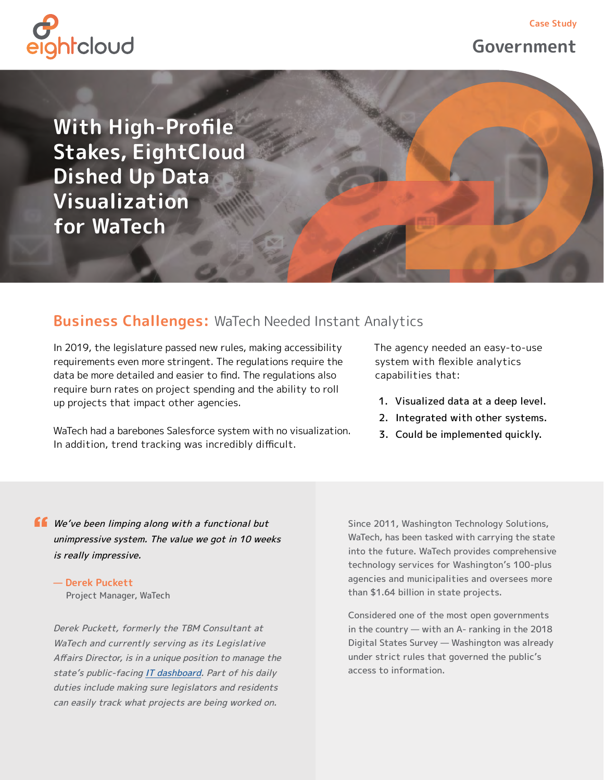

## **Government**

**With High-Profile Stakes, EightCloud Dished Up Data Visualization for WaTech** 

### **Business Challenges:** WaTech Needed Instant Analytics

In 2019, the legislature passed new rules, making accessibility requirements even more stringent. The regulations require the data be more detailed and easier to find. The regulations also require burn rates on project spending and the ability to roll up projects that impact other agencies.

WaTech had a barebones Salesforce system with no visualization. In addition, trend tracking was incredibly difficult.

The agency needed an easy-to-use system with flexible analytics capabilities that:

- 1. Visualized data at a deep level.
- 2. Integrated with other systems.
- 3. Could be implemented quickly.

**ff** We've been limping along with a functional but unimpressive system. The value we got in 10 weeks is really impressive.

**— Derek Puckett** Project Manager, WaTech

Derek Puckett, formerly the TBM Consultant at WaTech and currently serving as its Legislative Affairs Director, is in a unique position to manage the state's public-facing [IT dashboard](https://wacioportal.force.com/s/). Part of his daily duties include making sure legislators and residents can easily track what projects are being worked on.

Since 2011, Washington Technology Solutions, WaTech, has been tasked with carrying the state into the future. WaTech provides comprehensive technology services for Washington's 100-plus agencies and municipalities and oversees more than \$1.64 billion in state projects.

Considered one of the most open governments in the country — with an A- ranking in the 2018 Digital States Survey — Washington was already under strict rules that governed the public's access to information.